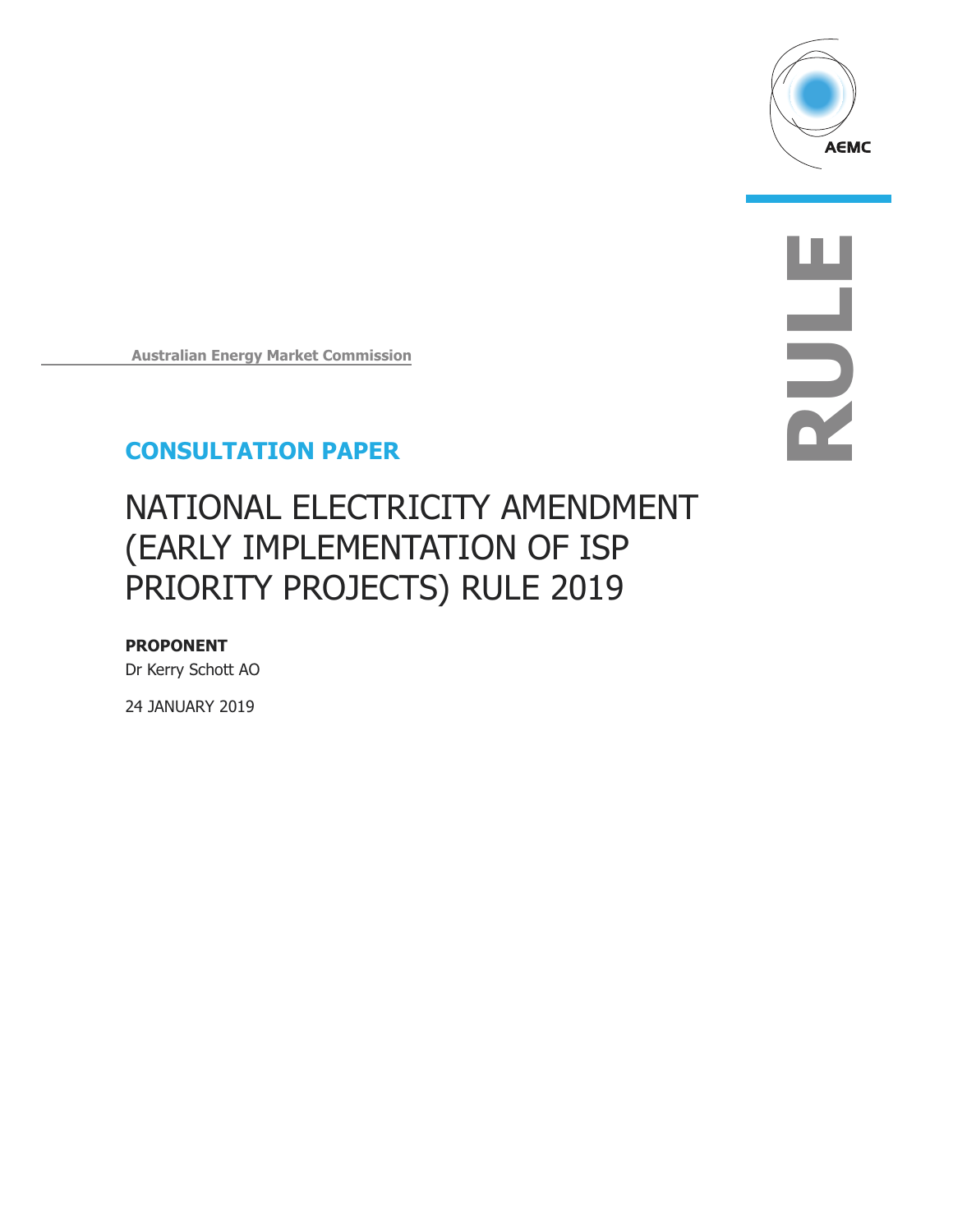

**RULE**

**Australian Energy Market Commission** 

# **CONSULTATION PAPER**

# NATIONAL ELECTRICITY AMENDMENT (EARLY IMPLEMENTATION OF ISP PRIORITY PROJECTS) RULE 2019

**PROPONENT**  Dr Kerry Schott AO

24 JANUARY 2019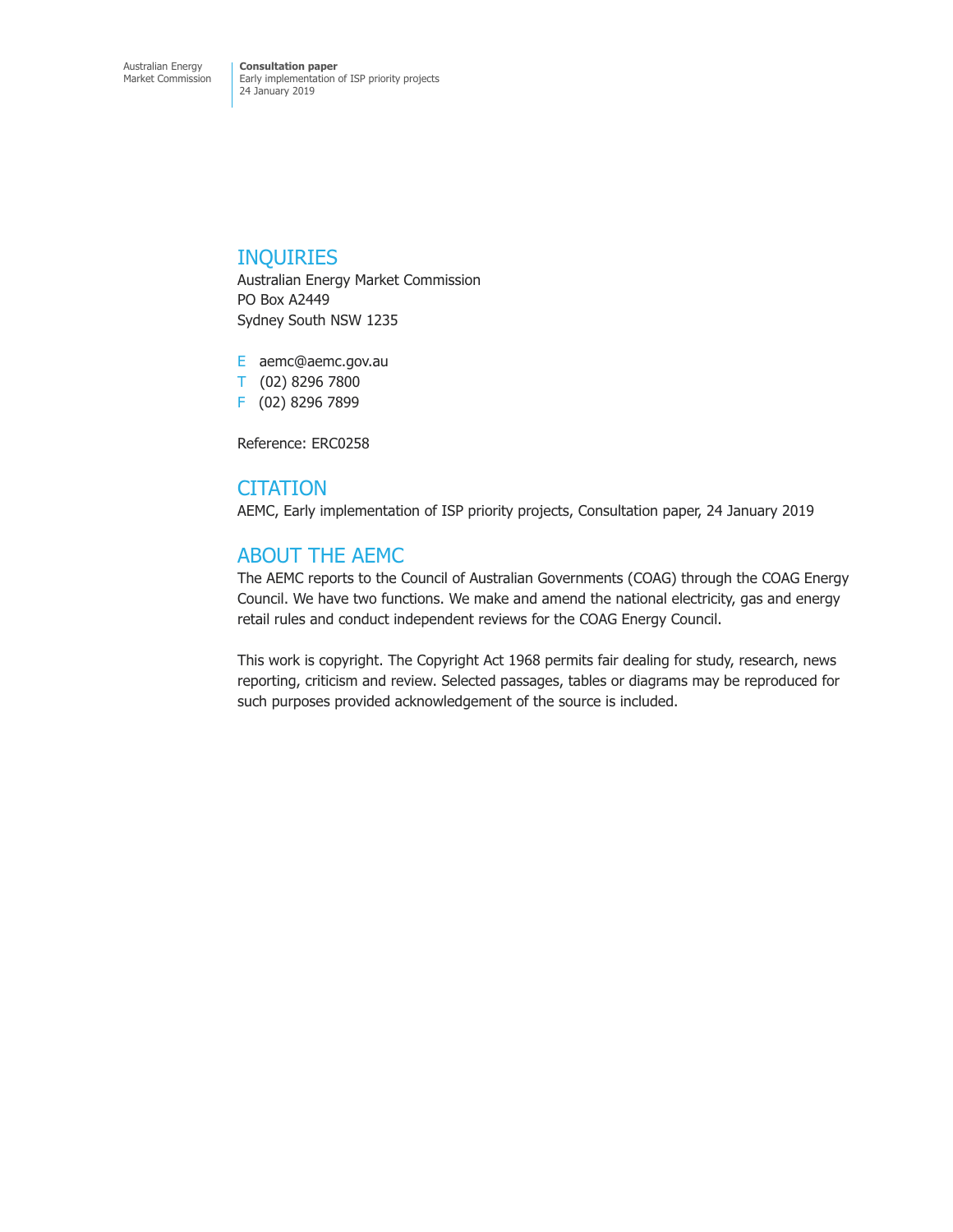Early implementation of ISP priority projects 24 January 2019

### INQUIRIES

Australian Energy Market Commission PO Box A2449 Sydney South NSW 1235

E aemc@aemc.gov.au T (02) 8296 7800 F (02) 8296 7899

Reference: ERC0258

### **CITATION**

AEMC, Early implementation of ISP priority projects, Consultation paper, 24 January 2019

### ABOUT THE AEMC

The AEMC reports to the Council of Australian Governments (COAG) through the COAG Energy Council. We have two functions. We make and amend the national electricity, gas and energy retail rules and conduct independent reviews for the COAG Energy Council.

This work is copyright. The Copyright Act 1968 permits fair dealing for study, research, news reporting, criticism and review. Selected passages, tables or diagrams may be reproduced for such purposes provided acknowledgement of the source is included.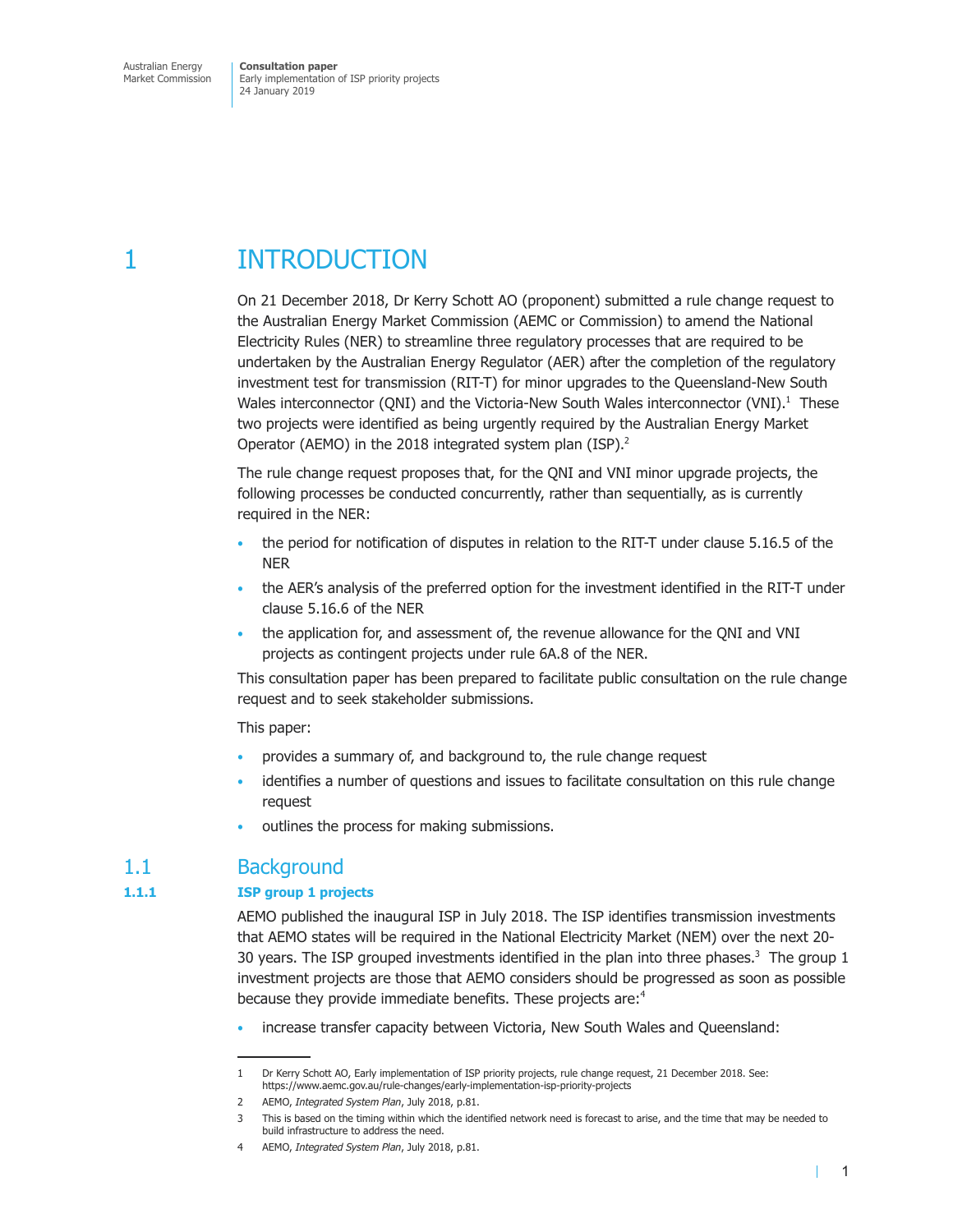# 1 INTRODUCTION

On 21 December 2018, Dr Kerry Schott AO (proponent) submitted a rule change request to the Australian Energy Market Commission (AEMC or Commission) to amend the National Electricity Rules (NER) to streamline three regulatory processes that are required to be undertaken by the Australian Energy Regulator (AER) after the completion of the regulatory investment test for transmission (RIT-T) for minor upgrades to the Queensland-New South Wales interconnector (QNI) and the Victoria-New South Wales interconnector (VNI).<sup>1</sup> These two projects were identified as being urgently required by the Australian Energy Market Operator (AEMO) in the 2018 integrated system plan (ISP).<sup>2</sup>

The rule change request proposes that, for the QNI and VNI minor upgrade projects, the following processes be conducted concurrently, rather than sequentially, as is currently required in the NER:

- the period for notification of disputes in relation to the RIT-T under clause 5.16.5 of the NER
- the AER's analysis of the preferred option for the investment identified in the RIT-T under clause 5.16.6 of the NER
- the application for, and assessment of, the revenue allowance for the QNI and VNI projects as contingent projects under rule 6A.8 of the NER.

This consultation paper has been prepared to facilitate public consultation on the rule change request and to seek stakeholder submissions.

This paper:

- provides a summary of, and background to, the rule change request
- identifies a number of questions and issues to facilitate consultation on this rule change request
- outlines the process for making submissions.

# 1.1 Background

#### **1.1.1 ISP group 1 projects**

AEMO published the inaugural ISP in July 2018. The ISP identifies transmission investments that AEMO states will be required in the National Electricity Market (NEM) over the next 20- 30 years. The ISP grouped investments identified in the plan into three phases. $3$  The group 1 investment projects are those that AEMO considers should be progressed as soon as possible because they provide immediate benefits. These projects are:<sup>4</sup>

• increase transfer capacity between Victoria, New South Wales and Queensland:

<sup>1</sup> Dr Kerry Schott AO, Early implementation of ISP priority projects, rule change request, 21 December 2018. See: https://www.aemc.gov.au/rule-changes/early-implementation-isp-priority-projects

<sup>2</sup> AEMO, *Integrated System Plan*, July 2018, p.81.

<sup>3</sup> This is based on the timing within which the identified network need is forecast to arise, and the time that may be needed to build infrastructure to address the need.

<sup>4</sup> AEMO, *Integrated System Plan*, July 2018, p.81.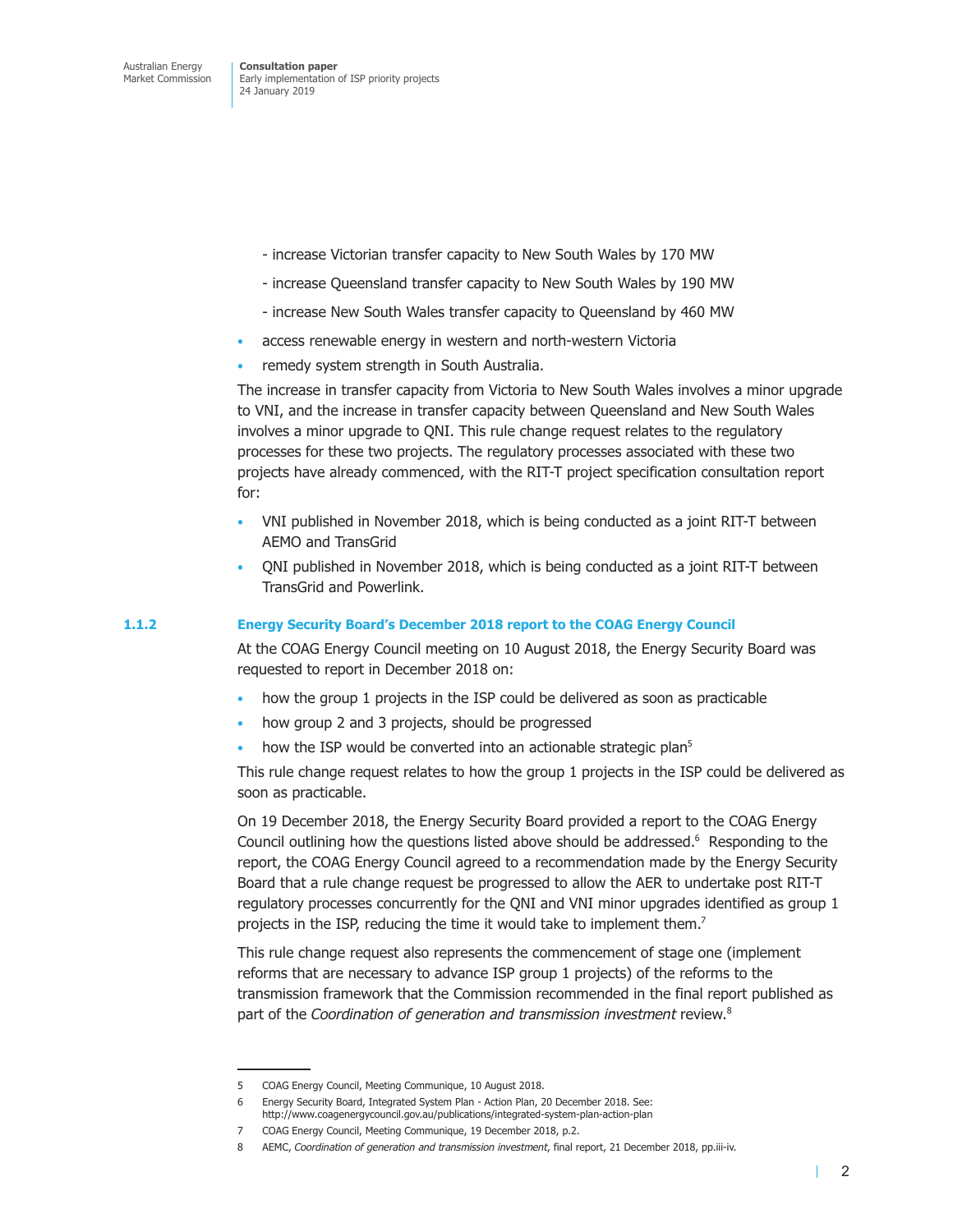- increase Victorian transfer capacity to New South Wales by 170 MW
- increase Queensland transfer capacity to New South Wales by 190 MW
- increase New South Wales transfer capacity to Queensland by 460 MW
- access renewable energy in western and north-western Victoria
- remedy system strength in South Australia.

The increase in transfer capacity from Victoria to New South Wales involves a minor upgrade to VNI, and the increase in transfer capacity between Queensland and New South Wales involves a minor upgrade to QNI. This rule change request relates to the regulatory processes for these two projects. The regulatory processes associated with these two projects have already commenced, with the RIT-T project specification consultation report for:

- VNI published in November 2018, which is being conducted as a joint RIT-T between AEMO and TransGrid
- QNI published in November 2018, which is being conducted as a joint RIT-T between TransGrid and Powerlink.

#### **1.1.2 Energy Security Board's December 2018 report to the COAG Energy Council**

At the COAG Energy Council meeting on 10 August 2018, the Energy Security Board was requested to report in December 2018 on:

- how the group 1 projects in the ISP could be delivered as soon as practicable
- how group 2 and 3 projects, should be progressed
- how the ISP would be converted into an actionable strategic plan<sup>5</sup>

This rule change request relates to how the group 1 projects in the ISP could be delivered as soon as practicable.

On 19 December 2018, the Energy Security Board provided a report to the COAG Energy Council outlining how the questions listed above should be addressed.<sup>6</sup> Responding to the report, the COAG Energy Council agreed to a recommendation made by the Energy Security Board that a rule change request be progressed to allow the AER to undertake post RIT-T regulatory processes concurrently for the QNI and VNI minor upgrades identified as group 1 projects in the ISP, reducing the time it would take to implement them.<sup>7</sup>

This rule change request also represents the commencement of stage one (implement reforms that are necessary to advance ISP group 1 projects) of the reforms to the transmission framework that the Commission recommended in the final report published as part of the *Coordination of generation and transmission investment* review.8

T

<sup>5</sup> COAG Energy Council, Meeting Communique, 10 August 2018.

<sup>6</sup> Energy Security Board, Integrated System Plan - Action Plan, 20 December 2018. See: http://www.coagenergycouncil.gov.au/publications/integrated-system-plan-action-plan

<sup>7</sup> COAG Energy Council, Meeting Communique, 19 December 2018, p.2.

<sup>8</sup> AEMC, *Coordination of generation and transmission investment*, final report, 21 December 2018, pp.iii-iv.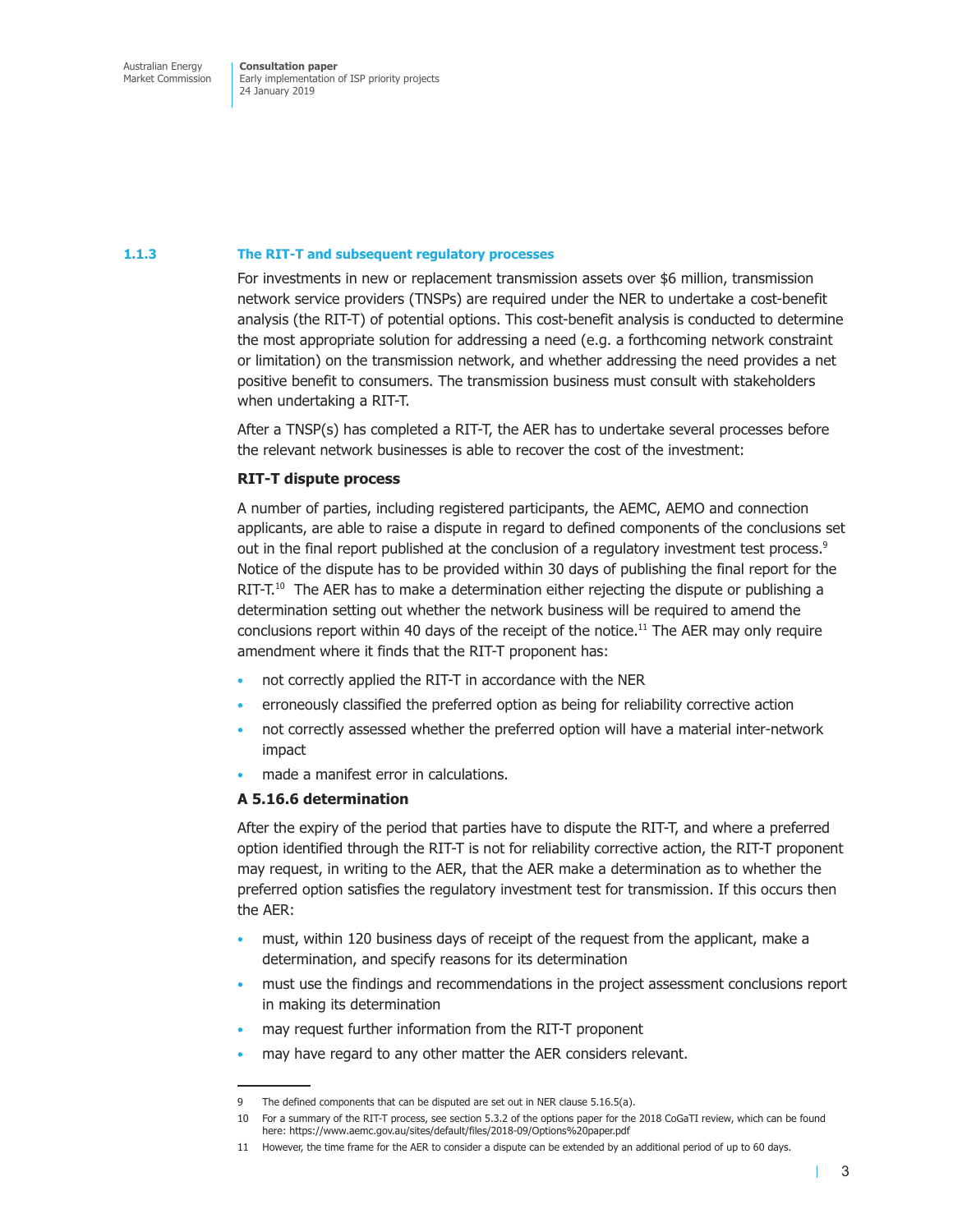#### **1.1.3 The RIT-T and subsequent regulatory processes**

For investments in new or replacement transmission assets over \$6 million, transmission network service providers (TNSPs) are required under the NER to undertake a cost-benefit analysis (the RIT-T) of potential options. This cost-benefit analysis is conducted to determine the most appropriate solution for addressing a need (e.g. a forthcoming network constraint or limitation) on the transmission network, and whether addressing the need provides a net positive benefit to consumers. The transmission business must consult with stakeholders when undertaking a RIT-T.

After a TNSP(s) has completed a RIT-T, the AER has to undertake several processes before the relevant network businesses is able to recover the cost of the investment:

#### **RIT-T dispute process**

A number of parties, including registered participants, the AEMC, AEMO and connection applicants, are able to raise a dispute in regard to defined components of the conclusions set out in the final report published at the conclusion of a regulatory investment test process.<sup>9</sup> Notice of the dispute has to be provided within 30 days of publishing the final report for the RIT-T.<sup>10</sup> The AER has to make a determination either rejecting the dispute or publishing a determination setting out whether the network business will be required to amend the conclusions report within 40 days of the receipt of the notice.<sup>11</sup> The AER may only require amendment where it finds that the RIT-T proponent has:

- not correctly applied the RIT-T in accordance with the NER
- erroneously classified the preferred option as being for reliability corrective action
- not correctly assessed whether the preferred option will have a material inter-network impact
- made a manifest error in calculations.

#### **A 5.16.6 determination**

After the expiry of the period that parties have to dispute the RIT-T, and where a preferred option identified through the RIT-T is not for reliability corrective action, the RIT-T proponent may request, in writing to the AER, that the AER make a determination as to whether the preferred option satisfies the regulatory investment test for transmission. If this occurs then the AER:

- must, within 120 business days of receipt of the request from the applicant, make a determination, and specify reasons for its determination
- must use the findings and recommendations in the project assessment conclusions report in making its determination
- may request further information from the RIT-T proponent
- may have regard to any other matter the AER considers relevant.

<sup>9</sup> The defined components that can be disputed are set out in NER clause 5.16.5(a).

<sup>10</sup> For a summary of the RIT-T process, see section 5.3.2 of the options paper for the 2018 CoGaTI review, which can be found here: https://www.aemc.gov.au/sites/default/files/2018-09/Options%20paper.pdf

<sup>11</sup> However, the time frame for the AER to consider a dispute can be extended by an additional period of up to 60 days.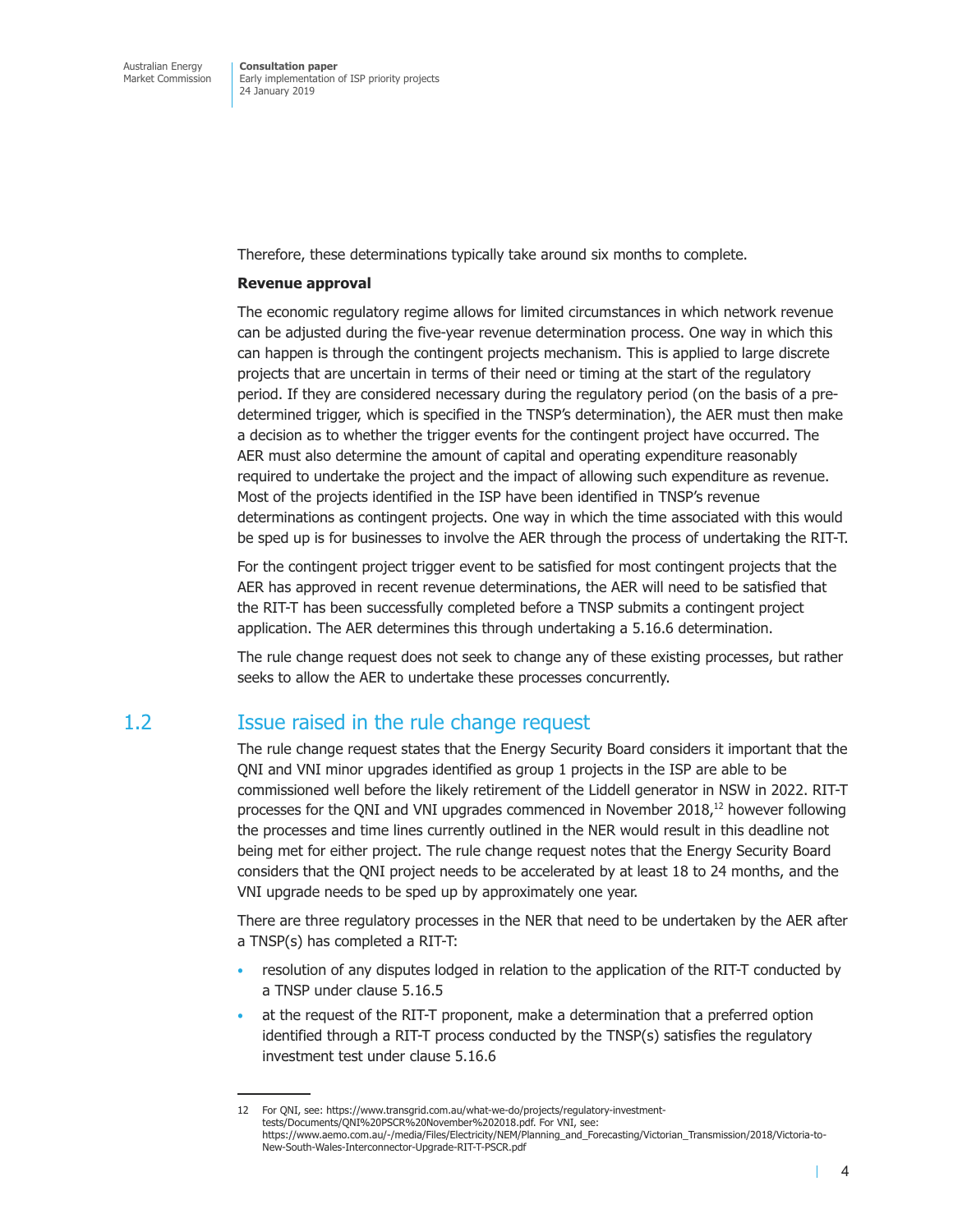Therefore, these determinations typically take around six months to complete.

#### **Revenue approval**

The economic regulatory regime allows for limited circumstances in which network revenue can be adjusted during the five-year revenue determination process. One way in which this can happen is through the contingent projects mechanism. This is applied to large discrete projects that are uncertain in terms of their need or timing at the start of the regulatory period. If they are considered necessary during the regulatory period (on the basis of a predetermined trigger, which is specified in the TNSP's determination), the AER must then make a decision as to whether the trigger events for the contingent project have occurred. The AER must also determine the amount of capital and operating expenditure reasonably required to undertake the project and the impact of allowing such expenditure as revenue. Most of the projects identified in the ISP have been identified in TNSP's revenue determinations as contingent projects. One way in which the time associated with this would be sped up is for businesses to involve the AER through the process of undertaking the RIT-T.

For the contingent project trigger event to be satisfied for most contingent projects that the AER has approved in recent revenue determinations, the AER will need to be satisfied that the RIT-T has been successfully completed before a TNSP submits a contingent project application. The AER determines this through undertaking a 5.16.6 determination.

The rule change request does not seek to change any of these existing processes, but rather seeks to allow the AER to undertake these processes concurrently.

# 1.2 Issue raised in the rule change request

The rule change request states that the Energy Security Board considers it important that the QNI and VNI minor upgrades identified as group 1 projects in the ISP are able to be commissioned well before the likely retirement of the Liddell generator in NSW in 2022. RIT-T processes for the QNI and VNI upgrades commenced in November  $2018<sup>12</sup>$  however following the processes and time lines currently outlined in the NER would result in this deadline not being met for either project. The rule change request notes that the Energy Security Board considers that the QNI project needs to be accelerated by at least 18 to 24 months, and the VNI upgrade needs to be sped up by approximately one year.

There are three regulatory processes in the NER that need to be undertaken by the AER after a TNSP(s) has completed a RIT-T:

- resolution of any disputes lodged in relation to the application of the RIT-T conducted by a TNSP under clause 5.16.5
- at the request of the RIT-T proponent, make a determination that a preferred option identified through a RIT-T process conducted by the TNSP(s) satisfies the regulatory investment test under clause 5.16.6

T

<sup>12</sup> For QNI, see: https://www.transgrid.com.au/what-we-do/projects/regulatory-investmenttests/Documents/QNI%20PSCR%20November%202018.pdf. For VNI, see: https://www.aemo.com.au/-/media/Files/Electricity/NEM/Planning\_and\_Forecasting/Victorian\_Transmission/2018/Victoria-to-New-South-Wales-Interconnector-Upgrade-RIT-T-PSCR.pdf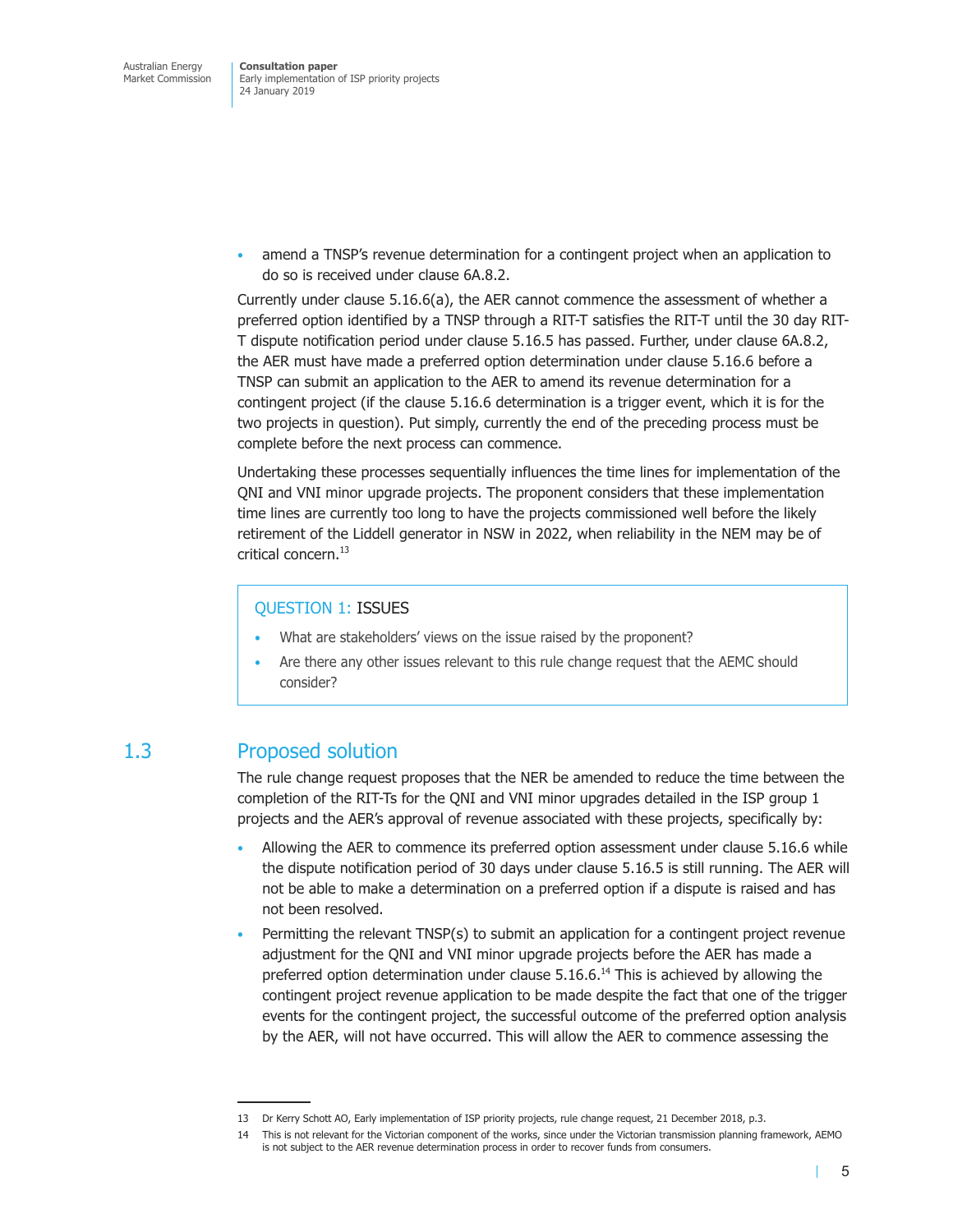• amend a TNSP's revenue determination for a contingent project when an application to do so is received under clause 6A.8.2.

Currently under clause 5.16.6(a), the AER cannot commence the assessment of whether a preferred option identified by a TNSP through a RIT-T satisfies the RIT-T until the 30 day RIT-T dispute notification period under clause 5.16.5 has passed. Further, under clause 6A.8.2, the AER must have made a preferred option determination under clause 5.16.6 before a TNSP can submit an application to the AER to amend its revenue determination for a contingent project (if the clause 5.16.6 determination is a trigger event, which it is for the two projects in question). Put simply, currently the end of the preceding process must be complete before the next process can commence.

Undertaking these processes sequentially influences the time lines for implementation of the QNI and VNI minor upgrade projects. The proponent considers that these implementation time lines are currently too long to have the projects commissioned well before the likely retirement of the Liddell generator in NSW in 2022, when reliability in the NEM may be of critical concern.<sup>13</sup>

### QUESTION 1: ISSUES

- What are stakeholders' views on the issue raised by the proponent?
- Are there any other issues relevant to this rule change request that the AEMC should consider?

# 1.3 Proposed solution

The rule change request proposes that the NER be amended to reduce the time between the completion of the RIT-Ts for the QNI and VNI minor upgrades detailed in the ISP group 1 projects and the AER's approval of revenue associated with these projects, specifically by:

- Allowing the AER to commence its preferred option assessment under clause 5.16.6 while the dispute notification period of 30 days under clause 5.16.5 is still running. The AER will not be able to make a determination on a preferred option if a dispute is raised and has not been resolved.
- Permitting the relevant TNSP(s) to submit an application for a contingent project revenue adjustment for the QNI and VNI minor upgrade projects before the AER has made a preferred option determination under clause  $5.16.6$ .<sup>14</sup> This is achieved by allowing the contingent project revenue application to be made despite the fact that one of the trigger events for the contingent project, the successful outcome of the preferred option analysis by the AER, will not have occurred. This will allow the AER to commence assessing the

<sup>13</sup> Dr Kerry Schott AO, Early implementation of ISP priority projects, rule change request, 21 December 2018, p.3.

<sup>14</sup> This is not relevant for the Victorian component of the works, since under the Victorian transmission planning framework, AEMO is not subject to the AER revenue determination process in order to recover funds from consumers.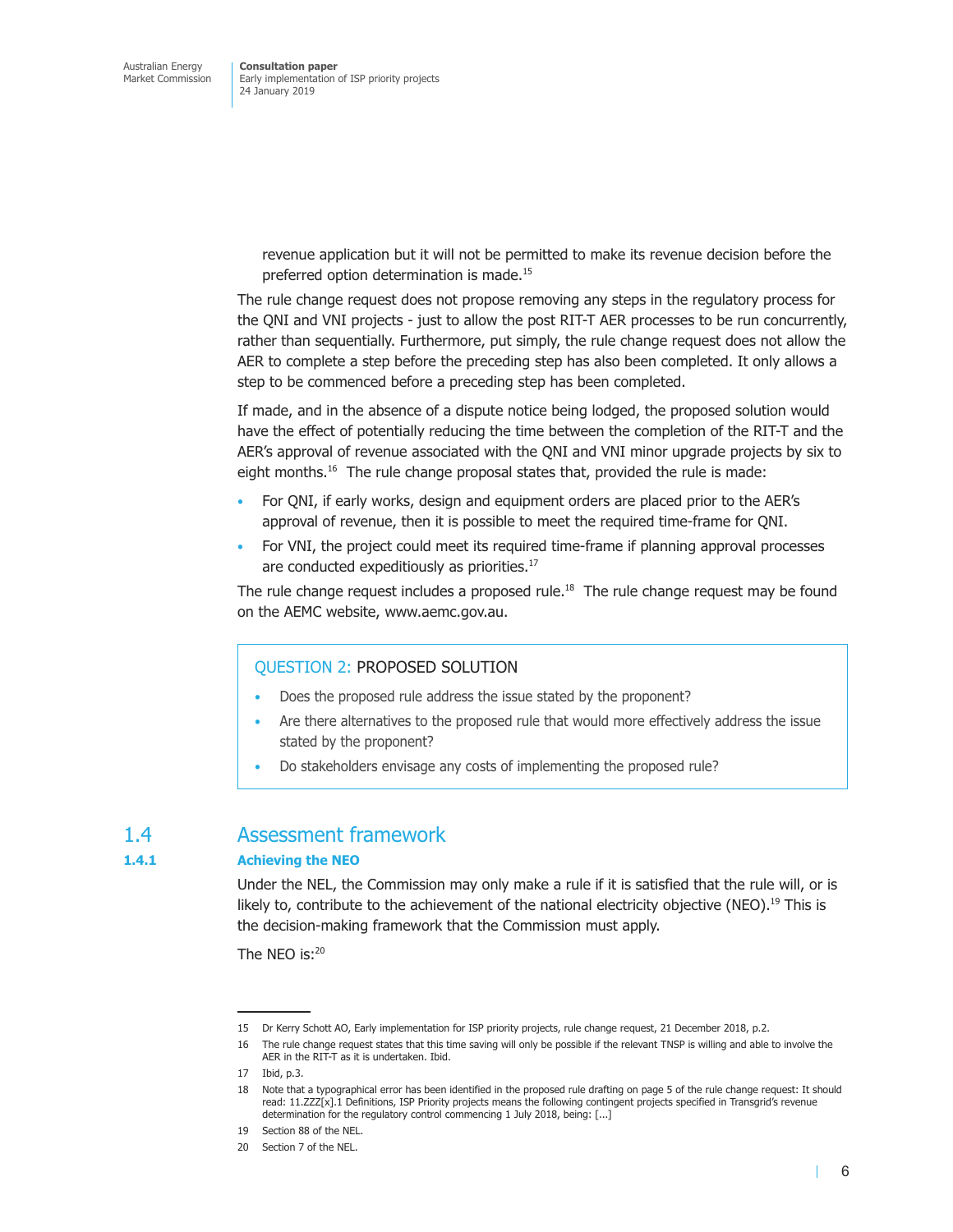> revenue application but it will not be permitted to make its revenue decision before the preferred option determination is made.<sup>15</sup>

The rule change request does not propose removing any steps in the regulatory process for the QNI and VNI projects - just to allow the post RIT-T AER processes to be run concurrently, rather than sequentially. Furthermore, put simply, the rule change request does not allow the AER to complete a step before the preceding step has also been completed. It only allows a step to be commenced before a preceding step has been completed.

If made, and in the absence of a dispute notice being lodged, the proposed solution would have the effect of potentially reducing the time between the completion of the RIT-T and the AER's approval of revenue associated with the QNI and VNI minor upgrade projects by six to eight months.<sup>16</sup> The rule change proposal states that, provided the rule is made:

- For QNI, if early works, design and equipment orders are placed prior to the AER's approval of revenue, then it is possible to meet the required time-frame for QNI.
- For VNI, the project could meet its required time-frame if planning approval processes are conducted expeditiously as priorities.<sup>17</sup>

The rule change request includes a proposed rule.<sup>18</sup> The rule change request may be found on the AEMC website, www.aemc.gov.au.

### QUESTION 2: PROPOSED SOLUTION

- Does the proposed rule address the issue stated by the proponent?
- Are there alternatives to the proposed rule that would more effectively address the issue stated by the proponent?
- Do stakeholders envisage any costs of implementing the proposed rule?

# 1.4 Assessment framework

#### **1.4.1 Achieving the NEO**

Under the NEL, the Commission may only make a rule if it is satisfied that the rule will, or is likely to, contribute to the achievement of the national electricity objective (NEO).<sup>19</sup> This is the decision-making framework that the Commission must apply.

The NEO is:20

 $\mathbf{I}$ 

<sup>15</sup> Dr Kerry Schott AO, Early implementation for ISP priority projects, rule change request, 21 December 2018, p.2.

<sup>16</sup> The rule change request states that this time saving will only be possible if the relevant TNSP is willing and able to involve the AER in the RIT-T as it is undertaken. Ibid.

<sup>17</sup> Ibid, p.3.

<sup>18</sup> Note that a typographical error has been identified in the proposed rule drafting on page 5 of the rule change request: It should read: 11.ZZZ[x].1 Definitions, ISP Priority projects means the following contingent projects specified in Transgrid's revenue determination for the regulatory control commencing 1 July 2018, being: [...]

<sup>19</sup> Section 88 of the NEL.

<sup>20</sup> Section 7 of the NEL.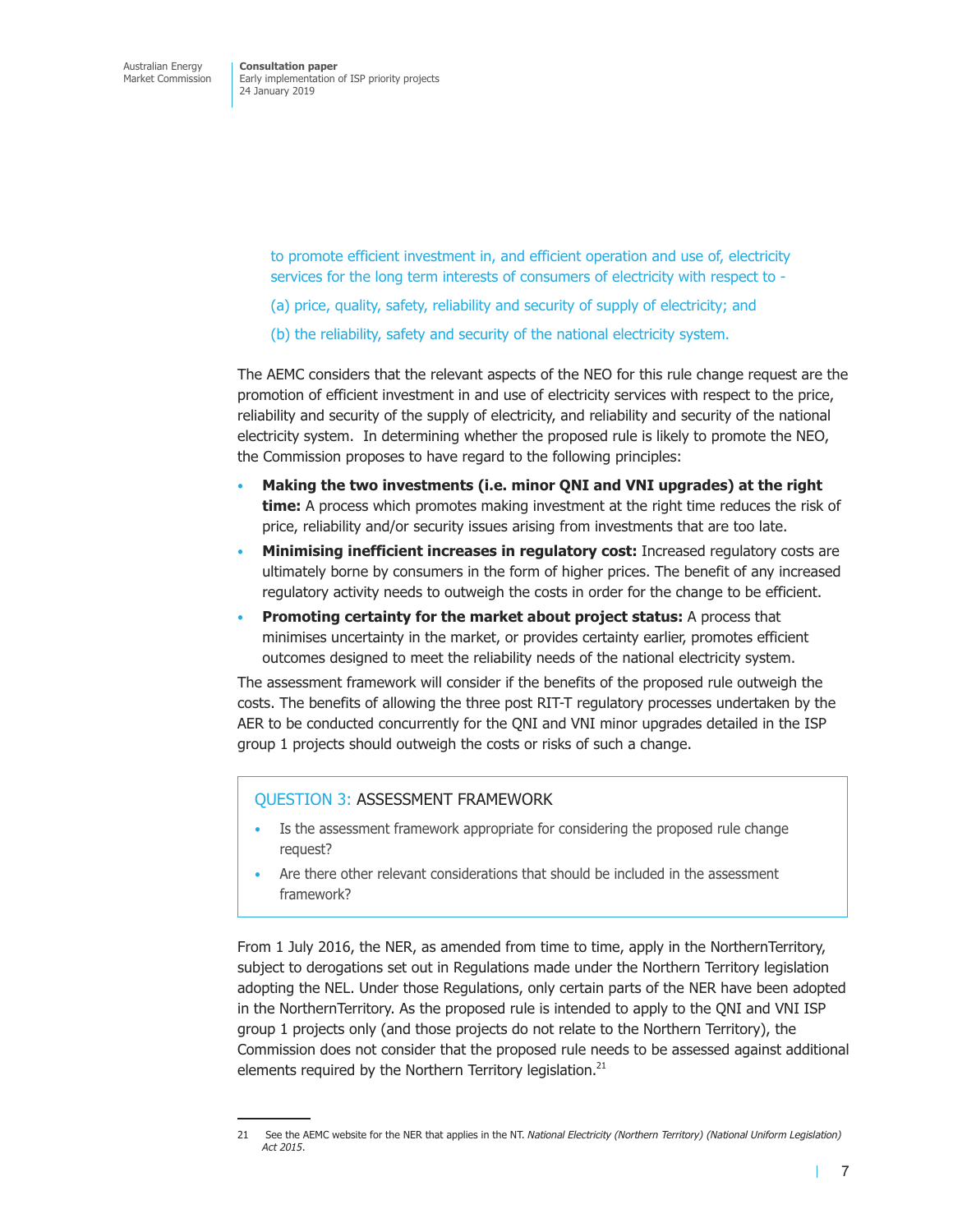> to promote efficient investment in, and efficient operation and use of, electricity services for the long term interests of consumers of electricity with respect to -

- (a) price, quality, safety, reliability and security of supply of electricity; and
- (b) the reliability, safety and security of the national electricity system.

The AEMC considers that the relevant aspects of the NEO for this rule change request are the promotion of efficient investment in and use of electricity services with respect to the price, reliability and security of the supply of electricity, and reliability and security of the national electricity system. In determining whether the proposed rule is likely to promote the NEO, the Commission proposes to have regard to the following principles:

- **Making the two investments (i.e. minor QNI and VNI upgrades) at the right time:** A process which promotes making investment at the right time reduces the risk of price, reliability and/or security issues arising from investments that are too late.
- **Minimising inefficient increases in regulatory cost:** Increased regulatory costs are ultimately borne by consumers in the form of higher prices. The benefit of any increased regulatory activity needs to outweigh the costs in order for the change to be efficient.
- **Promoting certainty for the market about project status:** A process that minimises uncertainty in the market, or provides certainty earlier, promotes efficient outcomes designed to meet the reliability needs of the national electricity system.

The assessment framework will consider if the benefits of the proposed rule outweigh the costs. The benefits of allowing the three post RIT-T regulatory processes undertaken by the AER to be conducted concurrently for the QNI and VNI minor upgrades detailed in the ISP group 1 projects should outweigh the costs or risks of such a change.

#### QUESTION 3: ASSESSMENT FRAMEWORK

- Is the assessment framework appropriate for considering the proposed rule change request?
- Are there other relevant considerations that should be included in the assessment framework?

From 1 July 2016, the NER, as amended from time to time, apply in the NorthernTerritory, subject to derogations set out in Regulations made under the Northern Territory legislation adopting the NEL. Under those Regulations, only certain parts of the NER have been adopted in the NorthernTerritory. As the proposed rule is intended to apply to the QNI and VNI ISP group 1 projects only (and those projects do not relate to the Northern Territory), the Commission does not consider that the proposed rule needs to be assessed against additional elements required by the Northern Territory legislation.<sup>21</sup>

<sup>21</sup> See the AEMC website for the NER that applies in the NT. *National Electricity (Northern Territory) (National Uniform Legislation) Act 2015*.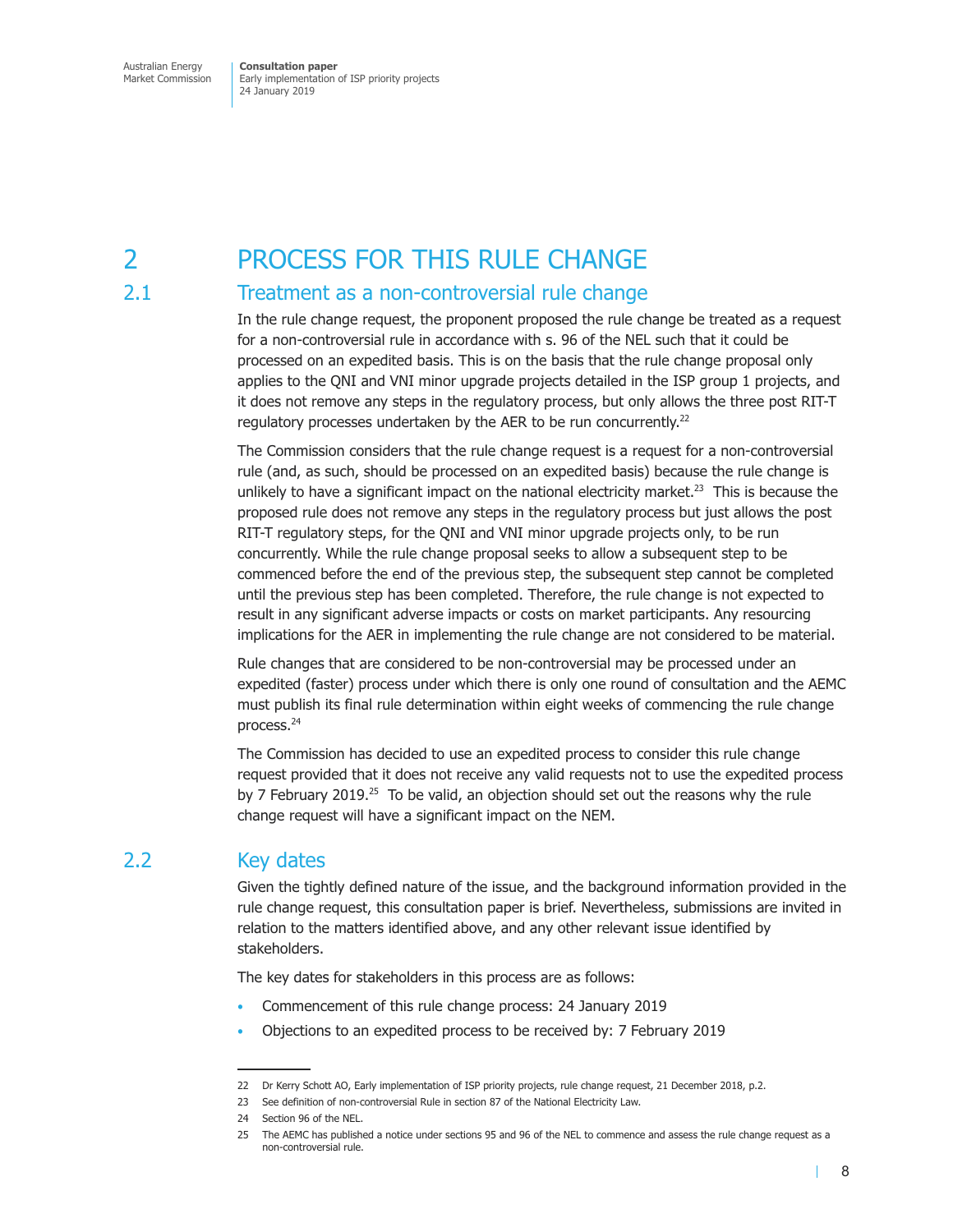# 2 PROCESS FOR THIS RULE CHANGE

# 2.1 Treatment as a non-controversial rule change

In the rule change request, the proponent proposed the rule change be treated as a request for a non-controversial rule in accordance with s. 96 of the NEL such that it could be processed on an expedited basis. This is on the basis that the rule change proposal only applies to the QNI and VNI minor upgrade projects detailed in the ISP group 1 projects, and it does not remove any steps in the regulatory process, but only allows the three post RIT-T regulatory processes undertaken by the AER to be run concurrently.<sup>22</sup>

The Commission considers that the rule change request is a request for a non-controversial rule (and, as such, should be processed on an expedited basis) because the rule change is unlikely to have a significant impact on the national electricity market.<sup>23</sup> This is because the proposed rule does not remove any steps in the regulatory process but just allows the post RIT-T regulatory steps, for the QNI and VNI minor upgrade projects only, to be run concurrently. While the rule change proposal seeks to allow a subsequent step to be commenced before the end of the previous step, the subsequent step cannot be completed until the previous step has been completed. Therefore, the rule change is not expected to result in any significant adverse impacts or costs on market participants. Any resourcing implications for the AER in implementing the rule change are not considered to be material.

Rule changes that are considered to be non-controversial may be processed under an expedited (faster) process under which there is only one round of consultation and the AEMC must publish its final rule determination within eight weeks of commencing the rule change process.<sup>24</sup>

The Commission has decided to use an expedited process to consider this rule change request provided that it does not receive any valid requests not to use the expedited process by 7 February 2019.<sup>25</sup> To be valid, an objection should set out the reasons why the rule change request will have a significant impact on the NEM.

# 2.2 Key dates

Given the tightly defined nature of the issue, and the background information provided in the rule change request, this consultation paper is brief. Nevertheless, submissions are invited in relation to the matters identified above, and any other relevant issue identified by stakeholders.

The key dates for stakeholders in this process are as follows:

- Commencement of this rule change process: 24 January 2019
- Objections to an expedited process to be received by: 7 February 2019

<sup>22</sup> Dr Kerry Schott AO, Early implementation of ISP priority projects, rule change request, 21 December 2018, p.2.

<sup>23</sup> See definition of non-controversial Rule in section 87 of the National Electricity Law.

<sup>24</sup> Section 96 of the NEL.

<sup>25</sup> The AEMC has published a notice under sections 95 and 96 of the NEL to commence and assess the rule change request as a non-controversial rule.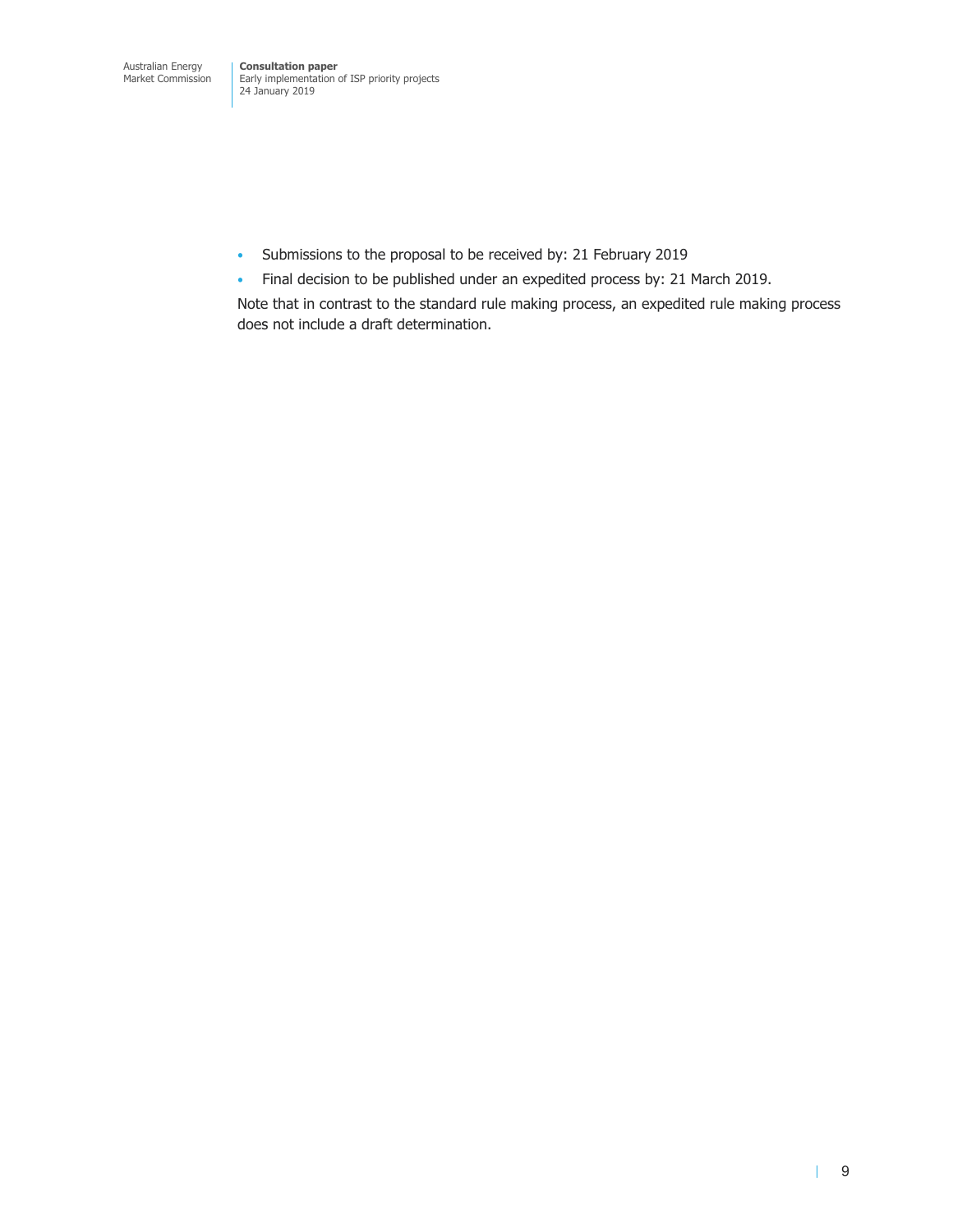- Submissions to the proposal to be received by: 21 February 2019
- Final decision to be published under an expedited process by: 21 March 2019.

Note that in contrast to the standard rule making process, an expedited rule making process does not include a draft determination.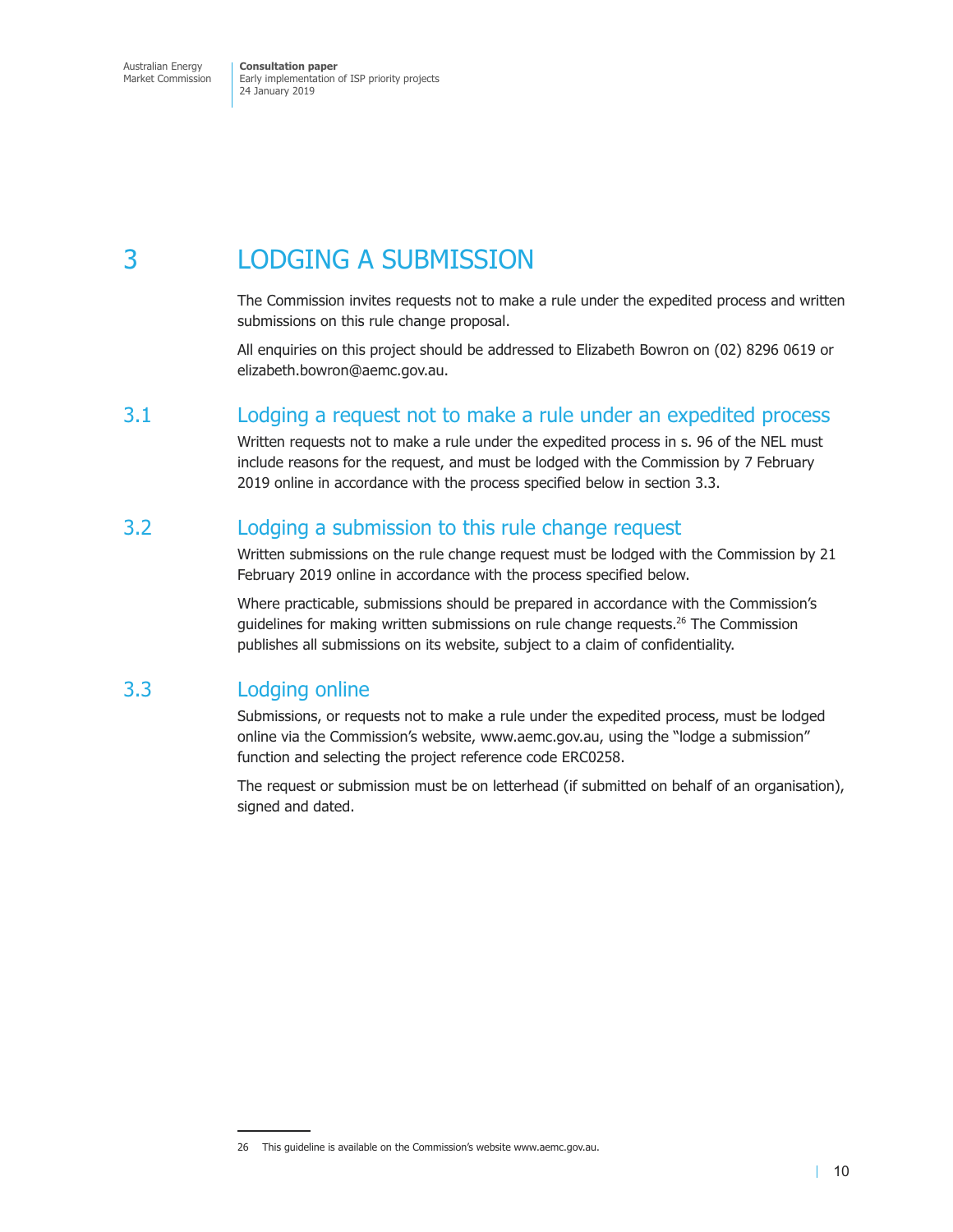# 3 LODGING A SUBMISSION

The Commission invites requests not to make a rule under the expedited process and written submissions on this rule change proposal.

All enquiries on this project should be addressed to Elizabeth Bowron on (02) 8296 0619 or elizabeth.bowron@aemc.gov.au.

# 3.1 Lodging a request not to make a rule under an expedited process

Written requests not to make a rule under the expedited process in s. 96 of the NEL must include reasons for the request, and must be lodged with the Commission by 7 February 2019 online in accordance with the process specified below in section 3.3.

# 3.2 Lodging a submission to this rule change request

Written submissions on the rule change request must be lodged with the Commission by 21 February 2019 online in accordance with the process specified below.

Where practicable, submissions should be prepared in accordance with the Commission's guidelines for making written submissions on rule change requests. $^{26}$  The Commission publishes all submissions on its website, subject to a claim of confidentiality.

# 3.3 Lodging online

Submissions, or requests not to make a rule under the expedited process, must be lodged online via the Commission's website, www.aemc.gov.au, using the "lodge a submission" function and selecting the project reference code ERC0258.

The request or submission must be on letterhead (if submitted on behalf of an organisation), signed and dated.

<sup>26</sup> This guideline is available on the Commission's website www.aemc.gov.au.